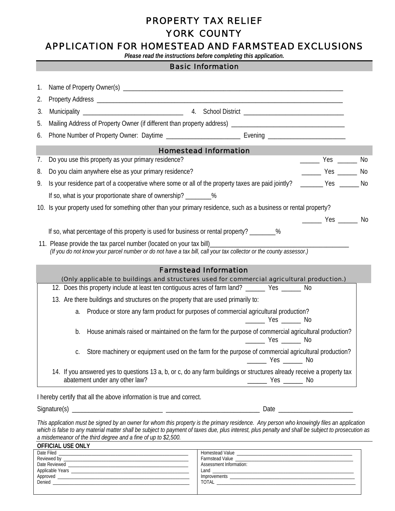# PROPERTY TAX RELIEF YORK COUNTY

# APPLICATION FOR HOMESTEAD AND FARMSTEAD EXCLUSIONS

*Please read the instructions before completing this application.* 

Ī

Г

|    | <b>Basic Information</b>                                                                                                                                                                     |  |
|----|----------------------------------------------------------------------------------------------------------------------------------------------------------------------------------------------|--|
| 1. |                                                                                                                                                                                              |  |
| 2. |                                                                                                                                                                                              |  |
| 3. |                                                                                                                                                                                              |  |
| 5. |                                                                                                                                                                                              |  |
| 6. |                                                                                                                                                                                              |  |
|    | <b>Homestead Information</b>                                                                                                                                                                 |  |
| 7. | Do you use this property as your primary residence?<br>________ Yes _______ No                                                                                                               |  |
| 8. | $\frac{1}{2}$ Yes $\frac{1}{2}$ No<br>Do you claim anywhere else as your primary residence?                                                                                                  |  |
| 9. | Is your residence part of a cooperative where some or all of the property taxes are paid jointly? ______ Yes ______ No                                                                       |  |
|    | If so, what is your proportionate share of ownership? ________%                                                                                                                              |  |
|    | 10. Is your property used for something other than your primary residence, such as a business or rental property?                                                                            |  |
|    | $\frac{1}{2}$ Yes $\frac{1}{2}$ No                                                                                                                                                           |  |
|    | If so, what percentage of this property is used for business or rental property? ________%                                                                                                   |  |
|    | 11. Please provide the tax parcel number (located on your tax bill)<br>(If you do not know your parcel number or do not have a tax bill, call your tax collector or the county assessor.)    |  |
|    |                                                                                                                                                                                              |  |
|    | <b>Farmstead Information</b>                                                                                                                                                                 |  |
|    | (Only applicable to buildings and structures used for commercial agricultural production.)<br>12. Does this property include at least ten contiguous acres of farm land? ______ Yes _____ No |  |
|    | 13. Are there buildings and structures on the property that are used primarily to:                                                                                                           |  |
|    | Produce or store any farm product for purposes of commercial agricultural production?<br>a.                                                                                                  |  |
|    | $\frac{1}{2}$ Yes $\frac{1}{2}$ No                                                                                                                                                           |  |
|    | House animals raised or maintained on the farm for the purpose of commercial agricultural production?<br>b.<br>$\frac{1}{2}$ Yes $\frac{1}{2}$ No                                            |  |
|    | c. Store machinery or equipment used on the farm for the purpose of commercial agricultural production?<br><u>______</u> Yes ______ No                                                       |  |
|    | 14. If you answered yes to questions 13 a, b, or c, do any farm buildings or structures already receive a property tax<br>abatement under any other law?                                     |  |
|    | I hereby certify that all the above information is true and correct.                                                                                                                         |  |
|    |                                                                                                                                                                                              |  |
|    |                                                                                                                                                                                              |  |

*This application must be signed by an owner for whom this property is the primary residence. Any person who knowingly files an application which is false to any material matter shall be subject to payment of taxes due, plus interest, plus penalty and shall be subject to prosecution as a misdemeanor of the third degree and a fine of up to \$2,500.*  **OFFICIAL USE ONLY** 

| <b>UFFILIAL USE UNLY</b>                                            |                         |  |  |
|---------------------------------------------------------------------|-------------------------|--|--|
|                                                                     |                         |  |  |
|                                                                     |                         |  |  |
| Date Reviewed                                                       | Assessment Information: |  |  |
|                                                                     |                         |  |  |
|                                                                     | <b>Improvements</b>     |  |  |
| Denied<br><u> 1989 - John Stein, Amerikaansk politiker († 1908)</u> | <b>TOTAL</b>            |  |  |
|                                                                     |                         |  |  |
|                                                                     |                         |  |  |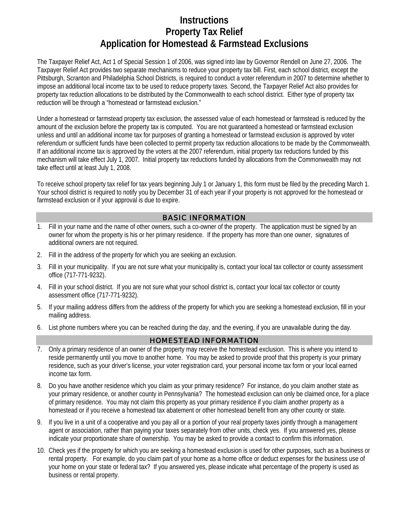# **Instructions Property Tax Relief Application for Homestead & Farmstead Exclusions**

The Taxpayer Relief Act, Act 1 of Special Session 1 of 2006, was signed into law by Governor Rendell on June 27, 2006. The Taxpayer Relief Act provides two separate mechanisms to reduce your property tax bill. First, each school district, except the Pittsburgh, Scranton and Philadelphia School Districts, is required to conduct a voter referendum in 2007 to determine whether to impose an additional local income tax to be used to reduce property taxes. Second, the Taxpayer Relief Act also provides for property tax reduction allocations to be distributed by the Commonwealth to each school district. Either type of property tax reduction will be through a "homestead or farmstead exclusion."

Under a homestead or farmstead property tax exclusion, the assessed value of each homestead or farmstead is reduced by the amount of the exclusion before the property tax is computed. You are not guaranteed a homestead or farmstead exclusion unless and until an additional income tax for purposes of granting a homestead or farmstead exclusion is approved by voter referendum or sufficient funds have been collected to permit property tax reduction allocations to be made by the Commonwealth. If an additional income tax is approved by the voters at the 2007 referendum, initial property tax reductions funded by this mechanism will take effect July 1, 2007. Initial property tax reductions funded by allocations from the Commonwealth may not take effect until at least July 1, 2008.

To receive school property tax relief for tax years beginning July 1 or January 1, this form must be filed by the preceding March 1. Your school district is required to notify you by December 31 of each year if your property is not approved for the homestead or farmstead exclusion or if your approval is due to expire.

### BASIC INFORMATION

- 1. Fill in your name and the name of other owners, such a co-owner of the property. The application must be signed by an owner for whom the property is his or her primary residence. If the property has more than one owner, signatures of additional owners are not required.
- 2. Fill in the address of the property for which you are seeking an exclusion.
- 3. Fill in your municipality. If you are not sure what your municipality is, contact your local tax collector or county assessment office (717-771-9232).
- 4. Fill in your school district. If you are not sure what your school district is, contact your local tax collector or county assessment office (717-771-9232).
- 5. If your mailing address differs from the address of the property for which you are seeking a homestead exclusion, fill in your mailing address.
- 6. List phone numbers where you can be reached during the day, and the evening, if you are unavailable during the day.

# HOMESTEAD INFORMATION

- 7. Only a primary residence of an owner of the property may receive the homestead exclusion. This is where you intend to reside permanently until you move to another home. You may be asked to provide proof that this property is your primary residence, such as your driver's license, your voter registration card, your personal income tax form or your local earned income tax form.
- 8. Do you have another residence which you claim as your primary residence? For instance, do you claim another state as your primary residence, or another county in Pennsylvania? The homestead exclusion can only be claimed once, for a place of primary residence. You may not claim this property as your primary residence if you claim another property as a homestead or if you receive a homestead tax abatement or other homestead benefit from any other county or state.
- 9. If you live in a unit of a cooperative and you pay all or a portion of your real property taxes jointly through a management agent or association, rather than paying your taxes separately from other units, check yes. If you answered yes, please indicate your proportionate share of ownership. You may be asked to provide a contact to confirm this information.
- 10. Check yes if the property for which you are seeking a homestead exclusion is used for other purposes, such as a business or rental property. For example, do you claim part of your home as a home office or deduct expenses for the business use of your home on your state or federal tax? If you answered yes, please indicate what percentage of the property is used as business or rental property.